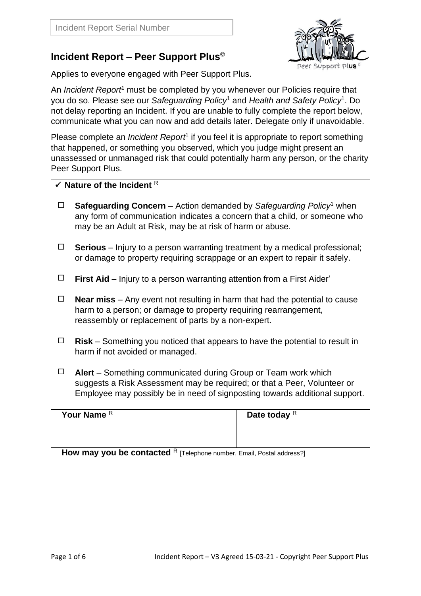## **Incident Report – Peer Support Plus©**

Applies to everyone engaged with Peer Support Plus.

An *Incident Report*<sup>1</sup> must be completed by you whenever our Policies require that you do so. Please see our *Safeguarding Policy*<sup>1</sup> and *Health and Safety Policy*<sup>1</sup> . Do not delay reporting an Incident. If you are unable to fully complete the report below, communicate what you can now and add details later. Delegate only if unavoidable.

Please complete an *Incident Report<sup>1</sup>* if you feel it is appropriate to report something that happened, or something you observed, which you judge might present an unassessed or unmanaged risk that could potentially harm any person, or the charity Peer Support Plus.

| $\checkmark$ Nature of the Incident R                                 |                                                                                                                                                                                                                                   |                         |  |  |  |
|-----------------------------------------------------------------------|-----------------------------------------------------------------------------------------------------------------------------------------------------------------------------------------------------------------------------------|-------------------------|--|--|--|
| $\Box$                                                                | <b>Safeguarding Concern</b> – Action demanded by Safeguarding Policy <sup>1</sup> when<br>any form of communication indicates a concern that a child, or someone who<br>may be an Adult at Risk, may be at risk of harm or abuse. |                         |  |  |  |
| $\Box$                                                                | <b>Serious</b> – Injury to a person warranting treatment by a medical professional;<br>or damage to property requiring scrappage or an expert to repair it safely.                                                                |                         |  |  |  |
| $\Box$                                                                | First Aid - Injury to a person warranting attention from a First Aider'                                                                                                                                                           |                         |  |  |  |
| $\Box$                                                                | <b>Near miss</b> $-$ Any event not resulting in harm that had the potential to cause<br>harm to a person; or damage to property requiring rearrangement,<br>reassembly or replacement of parts by a non-expert.                   |                         |  |  |  |
| □                                                                     | <b>Risk</b> – Something you noticed that appears to have the potential to result in<br>harm if not avoided or managed.                                                                                                            |                         |  |  |  |
| $\Box$                                                                | Alert – Something communicated during Group or Team work which<br>suggests a Risk Assessment may be required; or that a Peer, Volunteer or<br>Employee may possibly be in need of signposting towards additional support.         |                         |  |  |  |
| Your Name <sup>R</sup>                                                |                                                                                                                                                                                                                                   | Date today <sup>R</sup> |  |  |  |
|                                                                       |                                                                                                                                                                                                                                   |                         |  |  |  |
| How may you be contacted R [Telephone number, Email, Postal address?] |                                                                                                                                                                                                                                   |                         |  |  |  |
|                                                                       |                                                                                                                                                                                                                                   |                         |  |  |  |
|                                                                       |                                                                                                                                                                                                                                   |                         |  |  |  |
|                                                                       |                                                                                                                                                                                                                                   |                         |  |  |  |

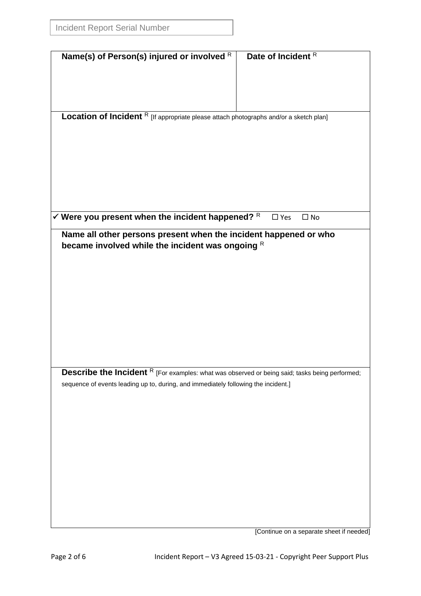|                                                                                                       | Date of Incident R            |  |  |
|-------------------------------------------------------------------------------------------------------|-------------------------------|--|--|
| Name(s) of Person(s) injured or involved $R$                                                          |                               |  |  |
|                                                                                                       |                               |  |  |
|                                                                                                       |                               |  |  |
|                                                                                                       |                               |  |  |
|                                                                                                       |                               |  |  |
| Location of Incident R [If appropriate please attach photographs and/or a sketch plan]                |                               |  |  |
|                                                                                                       |                               |  |  |
|                                                                                                       |                               |  |  |
|                                                                                                       |                               |  |  |
|                                                                                                       |                               |  |  |
|                                                                                                       |                               |  |  |
|                                                                                                       |                               |  |  |
|                                                                                                       |                               |  |  |
|                                                                                                       |                               |  |  |
|                                                                                                       |                               |  |  |
| $\checkmark$ Were you present when the incident happened? R                                           | $\square$ Yes<br>$\square$ No |  |  |
| Name all other persons present when the incident happened or who                                      |                               |  |  |
| became involved while the incident was ongoing R                                                      |                               |  |  |
|                                                                                                       |                               |  |  |
|                                                                                                       |                               |  |  |
|                                                                                                       |                               |  |  |
|                                                                                                       |                               |  |  |
|                                                                                                       |                               |  |  |
|                                                                                                       |                               |  |  |
|                                                                                                       |                               |  |  |
|                                                                                                       |                               |  |  |
|                                                                                                       |                               |  |  |
|                                                                                                       |                               |  |  |
|                                                                                                       |                               |  |  |
| <b>Describe the Incident</b> R [For examples: what was observed or being said; tasks being performed; |                               |  |  |
| sequence of events leading up to, during, and immediately following the incident.]                    |                               |  |  |
|                                                                                                       |                               |  |  |
|                                                                                                       |                               |  |  |
|                                                                                                       |                               |  |  |
|                                                                                                       |                               |  |  |
|                                                                                                       |                               |  |  |
|                                                                                                       |                               |  |  |
|                                                                                                       |                               |  |  |
|                                                                                                       |                               |  |  |
|                                                                                                       |                               |  |  |
|                                                                                                       |                               |  |  |
|                                                                                                       |                               |  |  |
|                                                                                                       |                               |  |  |
|                                                                                                       |                               |  |  |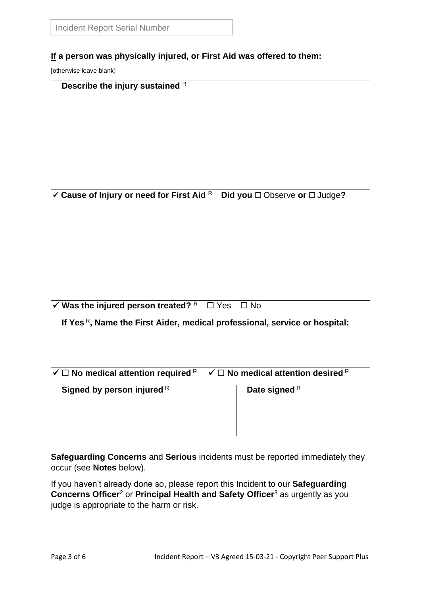## **If a person was physically injured, or First Aid was offered to them:**

[otherwise leave blank]

| Describe the injury sustained R                                                                                            |                 |  |  |  |  |
|----------------------------------------------------------------------------------------------------------------------------|-----------------|--|--|--|--|
|                                                                                                                            |                 |  |  |  |  |
|                                                                                                                            |                 |  |  |  |  |
|                                                                                                                            |                 |  |  |  |  |
|                                                                                                                            |                 |  |  |  |  |
|                                                                                                                            |                 |  |  |  |  |
|                                                                                                                            |                 |  |  |  |  |
|                                                                                                                            |                 |  |  |  |  |
|                                                                                                                            |                 |  |  |  |  |
|                                                                                                                            |                 |  |  |  |  |
|                                                                                                                            |                 |  |  |  |  |
| $\checkmark$ Cause of Injury or need for First Aid R Did you $\Box$ Observe or $\Box$ Judge?                               |                 |  |  |  |  |
|                                                                                                                            |                 |  |  |  |  |
|                                                                                                                            |                 |  |  |  |  |
|                                                                                                                            |                 |  |  |  |  |
|                                                                                                                            |                 |  |  |  |  |
|                                                                                                                            |                 |  |  |  |  |
|                                                                                                                            |                 |  |  |  |  |
|                                                                                                                            |                 |  |  |  |  |
|                                                                                                                            |                 |  |  |  |  |
|                                                                                                                            |                 |  |  |  |  |
|                                                                                                                            |                 |  |  |  |  |
| $\checkmark$ Was the injured person treated? $R \square Yes \square No$                                                    |                 |  |  |  |  |
|                                                                                                                            |                 |  |  |  |  |
| If Yes $R$ , Name the First Aider, medical professional, service or hospital:                                              |                 |  |  |  |  |
|                                                                                                                            |                 |  |  |  |  |
|                                                                                                                            |                 |  |  |  |  |
|                                                                                                                            |                 |  |  |  |  |
|                                                                                                                            |                 |  |  |  |  |
| $\checkmark$ $\Box$ No medical attention required $\mathbb R$ $\checkmark$ $\Box$ No medical attention desired $\mathbb R$ |                 |  |  |  |  |
|                                                                                                                            |                 |  |  |  |  |
| Signed by person injured R                                                                                                 | Date signed $R$ |  |  |  |  |
|                                                                                                                            |                 |  |  |  |  |
|                                                                                                                            |                 |  |  |  |  |
|                                                                                                                            |                 |  |  |  |  |
|                                                                                                                            |                 |  |  |  |  |

**Safeguarding Concerns** and **Serious** incidents must be reported immediately they occur (see **Notes** below).

If you haven't already done so, please report this Incident to our **Safeguarding Concerns Officer**<sup>2</sup> or **Principal Health and Safety Officer**<sup>3</sup> as urgently as you judge is appropriate to the harm or risk.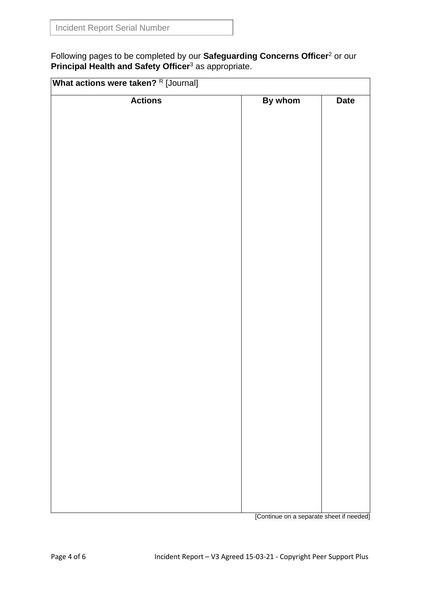Following pages to be completed by our **Safeguarding Concerns Officer**<sup>2</sup> or our **Principal Health and Safety Officer<sup>3</sup> as appropriate.** 

| <b>Actions</b> | By whom | <b>Date</b> |
|----------------|---------|-------------|
|                |         |             |
|                |         |             |
|                |         |             |
|                |         |             |
|                |         |             |
|                |         |             |
|                |         |             |
|                |         |             |
|                |         |             |
|                |         |             |
|                |         |             |
|                |         |             |
|                |         |             |
|                |         |             |
|                |         |             |
|                |         |             |
|                |         |             |
|                |         |             |
|                |         |             |
|                |         |             |
|                |         |             |
|                |         |             |
|                |         |             |
|                |         |             |
|                |         |             |
|                |         |             |

[Continue on a separate sheet if needed]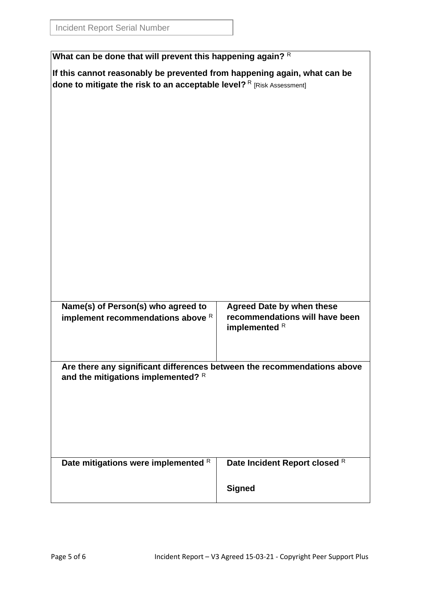| What can be done that will prevent this happening again? R                                                                                        |                                                 |  |  |  |
|---------------------------------------------------------------------------------------------------------------------------------------------------|-------------------------------------------------|--|--|--|
| If this cannot reasonably be prevented from happening again, what can be<br>done to mitigate the risk to an acceptable level? R [Risk Assessment] |                                                 |  |  |  |
|                                                                                                                                                   |                                                 |  |  |  |
|                                                                                                                                                   |                                                 |  |  |  |
|                                                                                                                                                   |                                                 |  |  |  |
|                                                                                                                                                   |                                                 |  |  |  |
|                                                                                                                                                   |                                                 |  |  |  |
|                                                                                                                                                   |                                                 |  |  |  |
|                                                                                                                                                   |                                                 |  |  |  |
|                                                                                                                                                   |                                                 |  |  |  |
|                                                                                                                                                   |                                                 |  |  |  |
|                                                                                                                                                   |                                                 |  |  |  |
|                                                                                                                                                   |                                                 |  |  |  |
|                                                                                                                                                   |                                                 |  |  |  |
|                                                                                                                                                   |                                                 |  |  |  |
| Name(s) of Person(s) who agreed to                                                                                                                | <b>Agreed Date by when these</b>                |  |  |  |
| implement recommendations above R                                                                                                                 | recommendations will have been<br>implemented R |  |  |  |
|                                                                                                                                                   |                                                 |  |  |  |
|                                                                                                                                                   |                                                 |  |  |  |
| Are there any significant differences between the recommendations above<br>and the mitigations implemented? R                                     |                                                 |  |  |  |
|                                                                                                                                                   |                                                 |  |  |  |
|                                                                                                                                                   |                                                 |  |  |  |
|                                                                                                                                                   |                                                 |  |  |  |
|                                                                                                                                                   |                                                 |  |  |  |
|                                                                                                                                                   |                                                 |  |  |  |
| Date mitigations were implemented R                                                                                                               | Date Incident Report closed R                   |  |  |  |
|                                                                                                                                                   | <b>Signed</b>                                   |  |  |  |
|                                                                                                                                                   |                                                 |  |  |  |